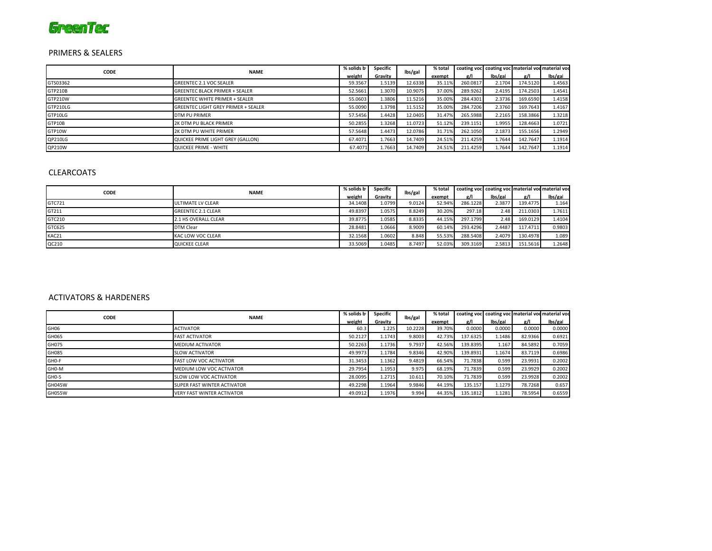# **GreenTec**

### PRIMERS & SEALERS

| <b>CODE</b> | <b>NAME</b>                                | % solids by | Specific | lbs/gal | % total | coating voc coating voc material voc material voc |         |          |         |  |  |  |
|-------------|--------------------------------------------|-------------|----------|---------|---------|---------------------------------------------------|---------|----------|---------|--|--|--|
|             |                                            | weight      | Gravitv  |         | exempt  | e/l                                               | lbs/gal | g/I      | lbs/gal |  |  |  |
| GTS03362    | <b>GREENTEC 2.1 VOC SEALER</b>             | 59.3567     | 1.5139   | 12.6338 | 35.11%  | 260.0817                                          | 2.1704  | 174.5120 | 1.4563  |  |  |  |
| GTP210B     | <b>GREENTEC BLACK PRIMER + SEALER</b>      | 52.5661     | 1.3070   | 10.9075 | 37.00%  | 289.9262                                          | 2.4195  | 174.2503 | 1.4541  |  |  |  |
| GTP210W     | <b>GREENTEC WHITE PRIMER + SEALER</b>      | 55.0603     | 1.3806   | 11.5216 | 35.00%  | 284.4301                                          | 2.3736  | 169.6590 | 1.4158  |  |  |  |
| GTP210LG    | <b>GREENTEC LIGHT GREY PRIMER + SEALER</b> | 55.0090     | 1.3798   | 11.5152 | 35.00%  | 284.7206                                          | 2.3760  | 169.7643 | 1.4167  |  |  |  |
| GTP10LG     | DTM PU PRIMER                              | 57.5456     | 1.4428   | 12.0405 | 31.47%  | 265.5988                                          | 2.2165  | 158.3866 | 1.3218  |  |  |  |
| GTP10B      | 2K DTM PU BLACK PRIMER                     | 50.2855     | 1.3268   | 11.0723 | 51.12%  | 239.1151                                          | 1.9955  | 128.4663 | 1.0721  |  |  |  |
| GTP10W      | 2K DTM PU WHITE PRIMER                     | 57.5648     | 1.4473   | 12.0786 | 31.71%  | 262.1050                                          | 2.1873  | 155.1656 | 1.2949  |  |  |  |
| QP210LG     | QUICKEE PRIME LIGHT GREY (GALLON)          | 67.4071     | 1.7663   | 14.7409 | 24.51%  | 211.4259                                          | 1.7644  | 142.7647 | 1.1914  |  |  |  |
| QP210W      | QUICKEE PRIME - WHITE                      | 67.4071     | 1.7663   | 14.7409 | 24.51%  | 211.4259                                          | 1.7644  | 142.7647 | 1.1914  |  |  |  |

# CLEARCOATS

| <b>CODE</b> | <b>NAME</b>               | % solids by | Specific | lbs/gal | % total |          |         | coating voc coating voc material voc material voc |         |
|-------------|---------------------------|-------------|----------|---------|---------|----------|---------|---------------------------------------------------|---------|
|             |                           | weight      | Gravitv  |         | exempt  | e/l      | lbs/gal | g/I                                               | lbs/gal |
| GTC721      | ULTIMATE LV CLEAR         | 34.1408     | 1.0799   | 9.0124  | 52.94%  | 286.1228 | 2.3877  | 139.4775                                          | 1.164   |
| GT211       | <b>GREENTEC 2.1 CLEAR</b> | 49.8397     | 1.0575   | 8.8249  | 30.20%  | 297.18   | 2.48    | 211.0303                                          | 1.7611  |
| GTC210      | 2.1 HS OVERALL CLEAR      | 39.8775     | 1.0585   | 8.8335  | 44.15%  | 297.1799 | 2.48    | 169.0129                                          | 1.4104  |
| GTC625      | <b>DTM Clear</b>          | 28.8481     | 1.0666   | 8.9009  | 60.14%  | 293.4296 | 2.4487  | 117.4711                                          | 0.9803  |
| KAC21       | <b>KAC LOW VOC CLEAR</b>  | 32.1568     | 1.0602   | 8.848   | 55.53%  | 288.5408 | 2.4079  | 130.4978                                          | 1.089   |
| QC210       | QUICKEE CLEAR             | 33.5069     | 1.0485   | 8.7497  | 52.03%  | 309.3169 | 2.5813  | 151.5616                                          | 1.2648  |

### ACTIVATORS & HARDENERS

| <b>CODE</b>      | <b>NAME</b>                       | % solids by | Specific | lbs/gal | % total |          |         | coating voc coating voc material voc material voc |         |
|------------------|-----------------------------------|-------------|----------|---------|---------|----------|---------|---------------------------------------------------|---------|
|                  |                                   | weight      | Gravitv  |         | exempt  | g/Ι      | lbs/gal | g/l                                               | lbs/gal |
| GH <sub>06</sub> | <b>ACTIVATOR</b>                  | 60.3        | 1.225    | 10.2228 | 39.70%  | 0.0000   | 0.0000  | 0.0000                                            | 0.0000  |
| GH065            | <b>FAST ACTIVATOR</b>             | 50.2127     | 1.1743   | 9.8003  | 42.73%  | 137.6325 | 1.1486  | 82.9366                                           | 0.6921  |
| GH075            | <b>MEDIUM ACTIVATOR</b>           | 50.2263     | 1.1736   | 9.7937  | 42.56%  | 139.8395 | 1.167   | 84.5892                                           | 0.7059  |
| GH085            | <b>SLOW ACTIVATOR</b>             | 49.9973     | 1.1784   | 9.8346  | 42.90%  | 139.8931 | 1.1674  | 83.7119                                           | 0.6986  |
| GHO-F            | <b>FAST LOW VOC ACTIVATOR</b>     | 31.3453     | 1.1362   | 9.4819  | 66.54%  | 71.7838  | 0.599   | 23.9931                                           | 0.2002  |
| GHO-M            | MEDIUM LOW VOC ACTIVATOR          | 29.7954     | 1.1953   | 9.975   | 68.19%  | 71.7839  | 0.599   | 23.9929                                           | 0.2002  |
| GHO-S            | SLOW LOW VOC ACTIVATOR            | 28.0095     | 1.2715   | 10.611  | 70.10%  | 71.7839  | 0.599   | 23.9928                                           | 0.2002  |
| <b>GH045W</b>    | SUPER FAST WINTER ACTIVATOR       | 49.2298     | 1.1964   | 9.9846  | 44.19%  | 135.157  | 1.1279  | 78.7268                                           | 0.657   |
| <b>GH055W</b>    | <b>VERY FAST WINTER ACTIVATOR</b> | 49.0912     | 1.1976   | 9.994   | 44.35%  | 135.1812 | 1.1281  | 78.5954                                           | 0.6559  |